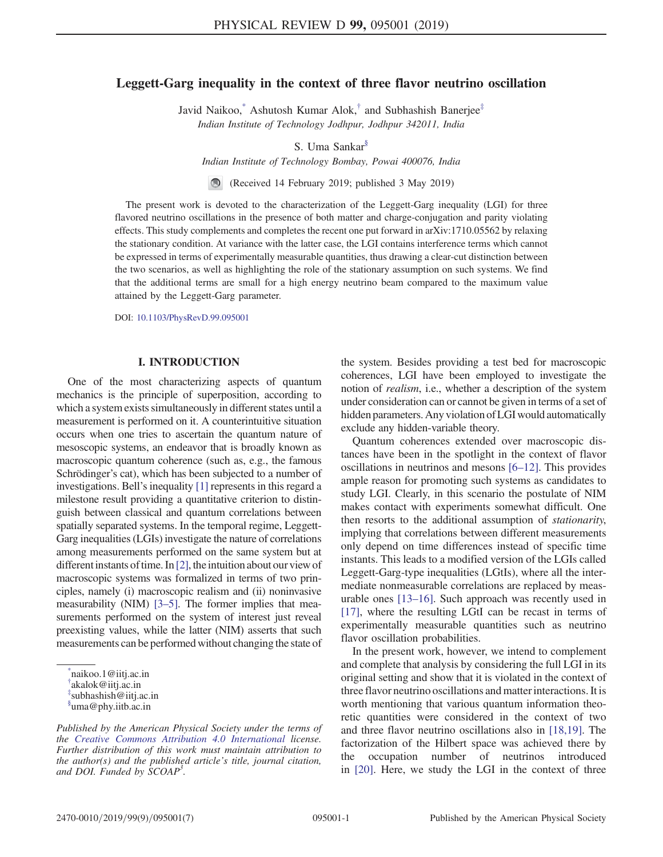# Leggett-Garg inequality in the context of three flavor neutrino oscillation

Javid Naikoo, \* Ashutosh Kumar Alok,<sup>†</sup> and Subhashish Banerjee<sup>‡</sup> Indian Institute of Technology Jodhpur, Jodhpur 342011, India

S. Uma Sankar§

Indian Institute of Technology Bombay, Powai 400076, India

(Received 14 February 2019; published 3 May 2019)

The present work is devoted to the characterization of the Leggett-Garg inequality (LGI) for three flavored neutrino oscillations in the presence of both matter and charge-conjugation and parity violating effects. This study complements and completes the recent one put forward in arXiv:1710.05562 by relaxing the stationary condition. At variance with the latter case, the LGI contains interference terms which cannot be expressed in terms of experimentally measurable quantities, thus drawing a clear-cut distinction between the two scenarios, as well as highlighting the role of the stationary assumption on such systems. We find that the additional terms are small for a high energy neutrino beam compared to the maximum value attained by the Leggett-Garg parameter.

DOI: 10.1103/PhysRevD.99.095001

## I. INTRODUCTION

One of the most characterizing aspects of quantum mechanics is the principle of superposition, according to which a system exists simultaneously in different states until a measurement is performed on it. A counterintuitive situation occurs when one tries to ascertain the quantum nature of mesoscopic systems, an endeavor that is broadly known as macroscopic quantum coherence (such as, e.g., the famous Schrödinger's cat), which has been subjected to a number of investigations. Bell's inequality [1] represents in this regard a milestone result providing a quantitative criterion to distinguish between classical and quantum correlations between spatially separated systems. In the temporal regime, Leggett-Garg inequalities (LGIs) investigate the nature of correlations among measurements performed on the same system but at different instants of time. In  $[2]$ , the intuition about our view of macroscopic systems was formalized in terms of two principles, namely (i) macroscopic realism and (ii) noninvasive measurability (NIM) [3–5]. The former implies that measurements performed on the system of interest just reveal preexisting values, while the latter (NIM) asserts that such measurements can be performed without changing the state of

\* naikoo.1@iitj.ac.in † akalok@iitj.ac.in

‡ subhashish@iitj.ac.in

the system. Besides providing a test bed for macroscopic coherences, LGI have been employed to investigate the notion of realism, i.e., whether a description of the system under consideration can or cannot be given in terms of a set of hidden parameters. Any violation of LGI would automatically exclude any hidden-variable theory.

Quantum coherences extended over macroscopic distances have been in the spotlight in the context of flavor oscillations in neutrinos and mesons [6–12]. This provides ample reason for promoting such systems as candidates to study LGI. Clearly, in this scenario the postulate of NIM makes contact with experiments somewhat difficult. One then resorts to the additional assumption of stationarity, implying that correlations between different measurements only depend on time differences instead of specific time instants. This leads to a modified version of the LGIs called Leggett-Garg-type inequalities (LGtIs), where all the intermediate nonmeasurable correlations are replaced by measurable ones [13–16]. Such approach was recently used in [17], where the resulting LGtI can be recast in terms of experimentally measurable quantities such as neutrino flavor oscillation probabilities.

In the present work, however, we intend to complement and complete that analysis by considering the full LGI in its original setting and show that it is violated in the context of three flavor neutrino oscillations and matter interactions. It is worth mentioning that various quantum information theoretic quantities were considered in the context of two and three flavor neutrino oscillations also in [18,19]. The factorization of the Hilbert space was achieved there by the occupation number of neutrinos introduced in [20]. Here, we study the LGI in the context of three

<sup>§</sup> uma@phy.iitb.ac.in

Published by the American Physical Society under the terms of the Creative Commons Attribution 4.0 International license. Further distribution of this work must maintain attribution to the author(s) and the published article's title, journal citation, and DOI. Funded by  $\dot{S}COAP^3$ .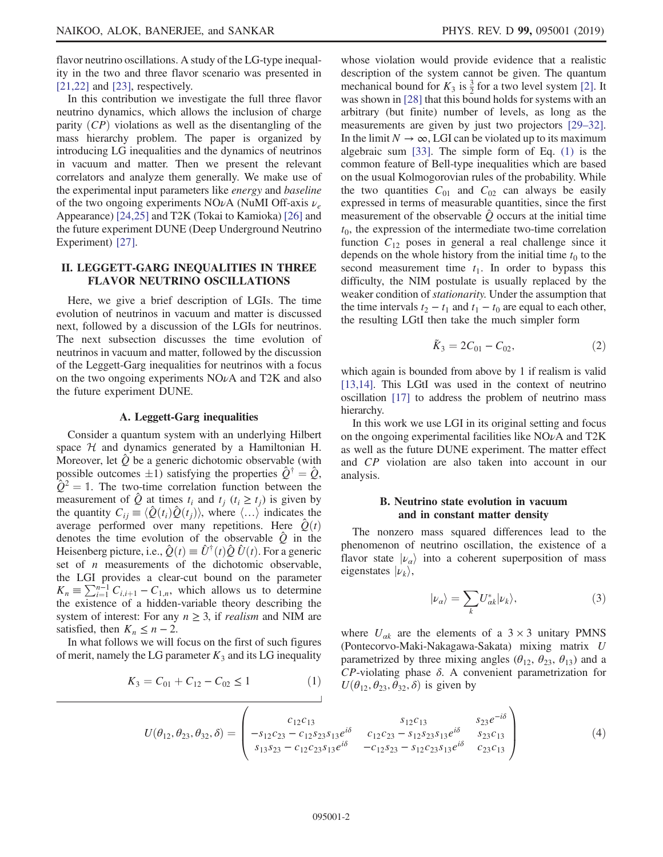flavor neutrino oscillations. A study of the LG-type inequality in the two and three flavor scenario was presented in  $[21,22]$  and  $[23]$ , respectively.

In this contribution we investigate the full three flavor neutrino dynamics, which allows the inclusion of charge parity  $(CP)$  violations as well as the disentangling of the mass hierarchy problem. The paper is organized by introducing LG inequalities and the dynamics of neutrinos in vacuum and matter. Then we present the relevant correlators and analyze them generally. We make use of the experimental input parameters like energy and baseline of the two ongoing experiments NO $\nu$ A (NuMI Off-axis  $\nu_e$ Appearance) [24,25] and T2K (Tokai to Kamioka) [26] and the future experiment DUNE (Deep Underground Neutrino Experiment) [27].

## II. LEGGETT-GARG INEQUALITIES IN THREE FLAVOR NEUTRINO OSCILLATIONS

Here, we give a brief description of LGIs. The time evolution of neutrinos in vacuum and matter is discussed next, followed by a discussion of the LGIs for neutrinos. The next subsection discusses the time evolution of neutrinos in vacuum and matter, followed by the discussion of the Leggett-Garg inequalities for neutrinos with a focus on the two ongoing experiments  $NOvA$  and T2K and also the future experiment DUNE.

### A. Leggett-Garg inequalities

Consider a quantum system with an underlying Hilbert space  $H$  and dynamics generated by a Hamiltonian H. Moreover, let  $\hat{Q}$  be a generic dichotomic observable (with possible outcomes  $\pm 1$ ) satisfying the properties  $\hat{Q}^{\dagger} = \hat{Q}$ ,  $\hat{Q}^2 = 1$ . The two-time correlation function between the measurement of  $\hat{Q}$  at times  $t_i$  and  $t_j$  ( $t_i \geq t_j$ ) is given by the quantity  $C_{ij} \equiv \langle \hat{Q}(t_i) \hat{Q}(t_j) \rangle$ , where  $\langle ... \rangle$  indicates the average performed over many repetitions. Here  $\hat{Q}(t)$ denotes the time evolution of the observable  $\hat{Q}$  in the Heisenberg picture, i.e.,  $\hat{Q}(t) \equiv \hat{U}^{\dagger}(t)\hat{Q}\hat{U}(t)$ . For a generic set of  $n$  measurements of the dichotomic observable, the LGI provides a clear-cut bound on the parameter  $K_n \equiv \sum_{i=1}^{n-1} C_{i,i+1} - C_{1,n}$ , which allows us to determine the existence of a hidden-variable theory describing the system of interest: For any  $n \geq 3$ , if *realism* and NIM are satisfied, then  $K_n \leq n-2$ .

In what follows we will focus on the first of such figures of merit, namely the LG parameter  $K_3$  and its LG inequality

$$
K_3 = C_{01} + C_{12} - C_{02} \le 1 \tag{1}
$$

whose violation would provide evidence that a realistic description of the system cannot be given. The quantum mechanical bound for  $K_3$  is  $\frac{3}{2}$  for a two level system [2]. It was shown in [28] that this bound holds for systems with an arbitrary (but finite) number of levels, as long as the measurements are given by just two projectors [29–32]. In the limit  $N \to \infty$ , LGI can be violated up to its maximum algebraic sum [33]. The simple form of Eq. (1) is the common feature of Bell-type inequalities which are based on the usual Kolmogorovian rules of the probability. While the two quantities  $C_{01}$  and  $C_{02}$  can always be easily expressed in terms of measurable quantities, since the first measurement of the observable  $\ddot{\theta}$  occurs at the initial time  $t_0$ , the expression of the intermediate two-time correlation function  $C_{12}$  poses in general a real challenge since it depends on the whole history from the initial time  $t_0$  to the second measurement time  $t_1$ . In order to bypass this difficulty, the NIM postulate is usually replaced by the weaker condition of stationarity. Under the assumption that the time intervals  $t_2 - t_1$  and  $t_1 - t_0$  are equal to each other, the resulting LGtI then take the much simpler form

$$
\tilde{K}_3 = 2C_{01} - C_{02},\tag{2}
$$

which again is bounded from above by 1 if realism is valid [13,14]. This LGtI was used in the context of neutrino oscillation [17] to address the problem of neutrino mass hierarchy.

In this work we use LGI in its original setting and focus on the ongoing experimental facilities like  $NO\nu A$  and  $T2K$ as well as the future DUNE experiment. The matter effect and CP violation are also taken into account in our analysis.

### B. Neutrino state evolution in vacuum and in constant matter density

The nonzero mass squared differences lead to the phenomenon of neutrino oscillation, the existence of a flavor state  $|\nu_{\alpha}\rangle$  into a coherent superposition of mass eigenstates  $|\nu_k\rangle$ ,

$$
|\nu_a\rangle = \sum_k U_{ak}^* |\nu_k\rangle,\tag{3}
$$

where  $U_{\alpha k}$  are the elements of a 3 × 3 unitary PMNS (Pontecorvo-Maki-Nakagawa-Sakata) mixing matrix U parametrized by three mixing angles ( $\theta_{12}$ ,  $\theta_{23}$ ,  $\theta_{13}$ ) and a  $CP$ -violating phase  $\delta$ . A convenient parametrization for  $U(\theta_{12}, \theta_{23}, \theta_{32}, \delta)$  is given by

$$
U(\theta_{12}, \theta_{23}, \theta_{32}, \delta) = \begin{pmatrix} c_{12}c_{13} & s_{12}c_{13} & s_{23}e^{-i\delta} \\ -s_{12}c_{23} - c_{12}s_{23}s_{13}e^{i\delta} & c_{12}c_{23} - s_{12}s_{23}s_{13}e^{i\delta} & s_{23}c_{13} \\ s_{13}s_{23} - c_{12}c_{23}s_{13}e^{i\delta} & -c_{12}s_{23} - s_{12}c_{23}s_{13}e^{i\delta} & c_{23}c_{13} \end{pmatrix}
$$
(4)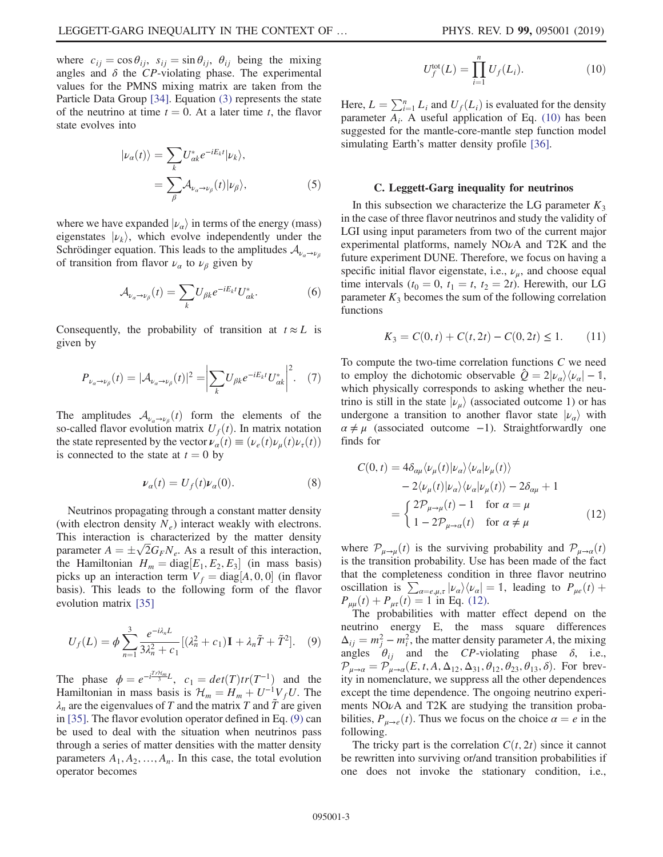where  $c_{ij} = \cos \theta_{ij}$ ,  $s_{ij} = \sin \theta_{ij}$ ,  $\theta_{ij}$  being the mixing angles and  $\delta$  the CP-violating phase. The experimental values for the PMNS mixing matrix are taken from the Particle Data Group [34]. Equation (3) represents the state of the neutrino at time  $t = 0$ . At a later time t, the flavor state evolves into

$$
|\nu_a(t)\rangle = \sum_k U_{\alpha k}^* e^{-iE_k t} |\nu_k\rangle,
$$
  
= 
$$
\sum_{\beta} A_{\nu_a \to \nu_\beta}(t) |\nu_\beta\rangle,
$$
 (5)

where we have expanded  $|\nu_{\alpha}\rangle$  in terms of the energy (mass) eigenstates  $|\nu_k\rangle$ , which evolve independently under the Schrödinger equation. This leads to the amplitudes  $\mathcal{A}_{\nu_{\alpha}\to\nu_{\beta}}$ of transition from flavor  $\nu_{\alpha}$  to  $\nu_{\beta}$  given by

$$
\mathcal{A}_{\nu_a \to \nu_\beta}(t) = \sum_k U_{\beta k} e^{-iE_k t} U_{\alpha k}^*.
$$
 (6)

Consequently, the probability of transition at  $t \approx L$  is given by

$$
P_{\nu_a \to \nu_\beta}(t) = |\mathcal{A}_{\nu_a \to \nu_\beta}(t)|^2 = \left| \sum_k U_{\beta k} e^{-iE_k t} U_{\alpha k}^* \right|^2. \tag{7}
$$

The amplitudes  $\mathcal{A}_{\nu_{\alpha}\to\nu_{\beta}}(t)$  form the elements of the so-called flavor evolution matrix  $U_f(t)$ . In matrix notation the state represented by the vector  $\nu_{\alpha}(t) \equiv (\nu_{e}(t)\nu_{\mu}(t)\nu_{\tau}(t))$ is connected to the state at  $t = 0$  by

$$
\nu_{\alpha}(t) = U_f(t)\nu_{\alpha}(0). \tag{8}
$$

Neutrinos propagating through a constant matter density (with electron density  $N_e$ ) interact weakly with electrons. This interaction is characterized by the matter density parameter  $A = \pm \sqrt{2} G_F N_e$ . As a result of this interaction, the Hamiltonian  $H_m = \text{diag}[E_1, E_2, E_3]$  (in mass basis) picks up an interaction term  $V_f = \text{diag}[A, 0, 0]$  (in flavor basis). This leads to the following form of the flavor evolution matrix [35]

$$
U_f(L) = \phi \sum_{n=1}^3 \frac{e^{-i\lambda_n L}}{3\lambda_n^2 + c_1} [(\lambda_n^2 + c_1) \mathbf{I} + \lambda_n \tilde{T} + \tilde{T}^2]. \tag{9}
$$

The phase  $\phi = e^{-i\frac{TrH_m}{3}L}$ ,  $c_1 = det(T)tr(T^{-1})$  and the Hamiltonian in mass basis is  $\mathcal{H}_m = H_m + U^{-1}V_fU$ . The  $\lambda_n$  are the eigenvalues of T and the matrix T and T are given in [35]. The flavor evolution operator defined in Eq. (9) can be used to deal with the situation when neutrinos pass through a series of matter densities with the matter density parameters  $A_1, A_2, ..., A_n$ . In this case, the total evolution operator becomes

$$
U_f^{\text{tot}}(L) = \prod_{i=1}^n U_f(L_i).
$$
 (10)

Here,  $L = \sum_{i=1}^{n} L_i$  and  $U_f(L_i)$  is evaluated for the density parameter  $A_i$ . A useful application of Eq. (10) has been suggested for the mantle-core-mantle step function model simulating Earth's matter density profile [36].

#### C. Leggett-Garg inequality for neutrinos

In this subsection we characterize the LG parameter  $K_3$ in the case of three flavor neutrinos and study the validity of LGI using input parameters from two of the current major experimental platforms, namely NOνA and T2K and the future experiment DUNE. Therefore, we focus on having a specific initial flavor eigenstate, i.e.,  $\nu_{\mu}$ , and choose equal time intervals ( $t_0 = 0$ ,  $t_1 = t$ ,  $t_2 = 2t$ ). Herewith, our LG parameter  $K_3$  becomes the sum of the following correlation functions

$$
K_3 = C(0, t) + C(t, 2t) - C(0, 2t) \le 1.
$$
 (11)

To compute the two-time correlation functions  $C$  we need to employ the dichotomic observable  $\hat{Q} = 2|\nu_{\alpha}\rangle\langle\nu_{\alpha}| - 1$ , which physically corresponds to asking whether the neutrino is still in the state  $|\nu_{\mu}\rangle$  (associated outcome 1) or has undergone a transition to another flavor state  $|\nu_{\alpha}\rangle$  with  $\alpha \neq \mu$  (associated outcome −1). Straightforwardly one finds for

$$
C(0, t) = 4\delta_{\alpha\mu} \langle \nu_{\mu}(t) | \nu_{\alpha} \rangle \langle \nu_{\alpha} | \nu_{\mu}(t) \rangle
$$
  
\n
$$
- 2 \langle \nu_{\mu}(t) | \nu_{\alpha} \rangle \langle \nu_{\alpha} | \nu_{\mu}(t) \rangle - 2\delta_{\alpha\mu} + 1
$$
  
\n
$$
= \begin{cases} 2\mathcal{P}_{\mu \to \mu}(t) - 1 & \text{for } \alpha = \mu \\ 1 - 2\mathcal{P}_{\mu \to \alpha}(t) & \text{for } \alpha \neq \mu \end{cases}
$$
(12)

where  $\mathcal{P}_{\mu\to\mu}(t)$  is the surviving probability and  $\mathcal{P}_{\mu\to\alpha}(t)$ is the transition probability. Use has been made of the fact that the completeness condition in three flavor neutrino oscillation is  $\sum_{\alpha=e,\mu,\tau} |\nu_{\alpha}\rangle \langle \nu_{\alpha}| = 1$ , leading to  $P_{\mu e}(t)$  +  $P_{\mu\mu}(t) + P_{\mu\tau}(t) = 1$  in Eq. (12).

The probabilities with matter effect depend on the neutrino energy E, the mass square differences  $\Delta_{ij} = m_j^2 - m_i^2$ , the matter density parameter A, the mixing angles  $\theta_{ij}$  and the CP-violating phase  $\delta$ , i.e.,  $\mathcal{P}_{\mu\to\alpha} = \mathcal{P}_{\mu\to\alpha}(E, t, A, \Delta_{12}, \Delta_{31}, \theta_{12}, \theta_{23}, \theta_{13}, \delta)$ . For brevity in nomenclature, we suppress all the other dependences except the time dependence. The ongoing neutrino experiments  $NO\nu A$  and T2K are studying the transition probabilities,  $P_{\mu \to e}(t)$ . Thus we focus on the choice  $\alpha = e$  in the following.

The tricky part is the correlation  $C(t, 2t)$  since it cannot be rewritten into surviving or/and transition probabilities if one does not invoke the stationary condition, i.e.,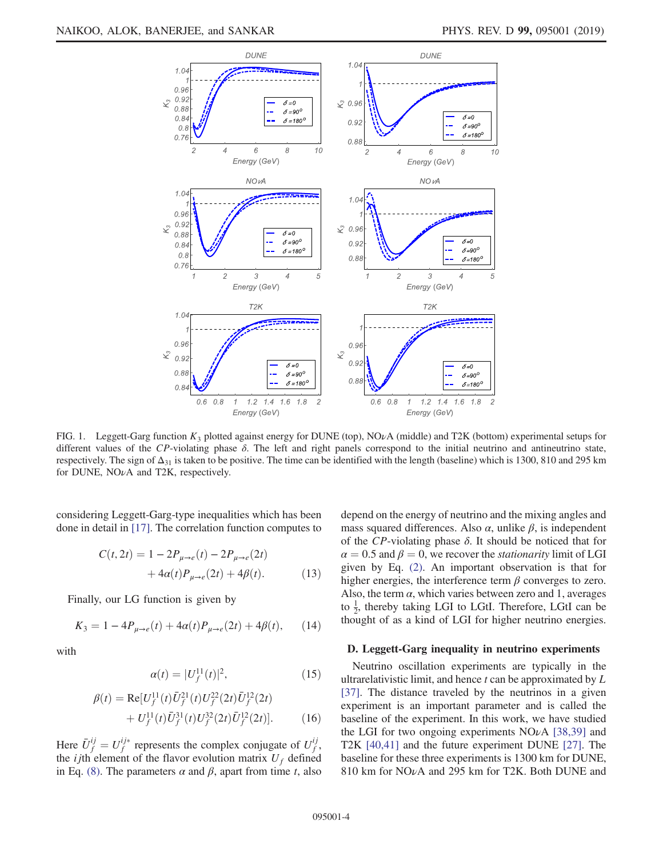

FIG. 1. Leggett-Garg function  $K_3$  plotted against energy for DUNE (top), NO<sub>v</sub>A (middle) and T2K (bottom) experimental setups for different values of the CP-violating phase  $\delta$ . The left and right panels correspond to the initial neutrino and antineutrino state, respectively. The sign of  $\Delta_{31}$  is taken to be positive. The time can be identified with the length (baseline) which is 1300, 810 and 295 km for DUNE, NOνA and T2K, respectively.

considering Leggett-Garg-type inequalities which has been done in detail in [17]. The correlation function computes to

$$
C(t, 2t) = 1 - 2P_{\mu \to e}(t) - 2P_{\mu \to e}(2t) + 4\alpha(t)P_{\mu \to e}(2t) + 4\beta(t).
$$
 (13)

Finally, our LG function is given by

$$
K_3 = 1 - 4P_{\mu \to e}(t) + 4\alpha(t)P_{\mu \to e}(2t) + 4\beta(t), \qquad (14)
$$

with

$$
\alpha(t) = |U_f^{11}(t)|^2, \tag{15}
$$

$$
\beta(t) = \text{Re}[U_f^{11}(t)\bar{U}_f^{21}(t)U_f^{22}(2t)\bar{U}_f^{12}(2t) + U_f^{11}(t)\bar{U}_f^{31}(t)U_f^{32}(2t)\bar{U}_f^{12}(2t)].
$$
\n(16)

Here  $\bar{U}_f^{ij} = U_f^{ij*}$  represents the complex conjugate of  $U_f^{ij}$ ıj<br>f , the *i*jth element of the flavor evolution matrix  $U_f$  defined in Eq. (8). The parameters  $\alpha$  and  $\beta$ , apart from time t, also depend on the energy of neutrino and the mixing angles and mass squared differences. Also  $\alpha$ , unlike  $\beta$ , is independent of the CP-violating phase  $\delta$ . It should be noticed that for  $\alpha = 0.5$  and  $\beta = 0$ , we recover the *stationarity* limit of LGI given by Eq. (2). An important observation is that for higher energies, the interference term  $\beta$  converges to zero. Also, the term  $\alpha$ , which varies between zero and 1, averages to  $\frac{1}{2}$ , thereby taking LGI to LGtI. Therefore, LGtI can be thought of as a kind of LGI for higher neutrino energies.

### D. Leggett-Garg inequality in neutrino experiments

Neutrino oscillation experiments are typically in the ultrarelativistic limit, and hence  $t$  can be approximated by  $L$ [37]. The distance traveled by the neutrinos in a given experiment is an important parameter and is called the baseline of the experiment. In this work, we have studied the LGI for two ongoing experiments  $NO\nu A$  [38,39] and T2K [40,41] and the future experiment DUNE [27]. The baseline for these three experiments is 1300 km for DUNE, 810 km for NOνA and 295 km for T2K. Both DUNE and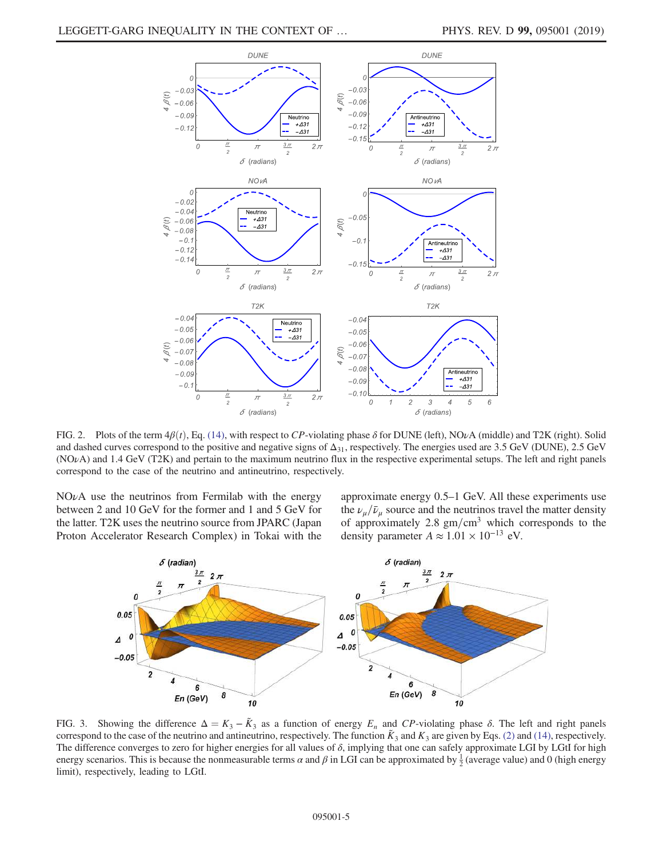

FIG. 2. Plots of the term  $4\beta(t)$ , Eq. (14), with respect to CP-violating phase  $\delta$  for DUNE (left), NO<sub>V</sub>A (middle) and T2K (right). Solid and dashed curves correspond to the positive and negative signs of  $\Delta_{31}$ , respectively. The energies used are 3.5 GeV (DUNE), 2.5 GeV (NOνA) and 1.4 GeV (T2K) and pertain to the maximum neutrino flux in the respective experimental setups. The left and right panels correspond to the case of the neutrino and antineutrino, respectively.

 $NO\nu A$  use the neutrinos from Fermilab with the energy between 2 and 10 GeV for the former and 1 and 5 GeV for the latter. T2K uses the neutrino source from JPARC (Japan Proton Accelerator Research Complex) in Tokai with the approximate energy 0.5–1 GeV. All these experiments use the  $\nu_{\mu}/\bar{\nu}_{\mu}$  source and the neutrinos travel the matter density of approximately 2.8  $\text{gm/cm}^3$  which corresponds to the density parameter  $A \approx 1.01 \times 10^{-13}$  eV.



FIG. 3. Showing the difference  $\Delta = K_3 - \tilde{K}_3$  as a function of energy  $E_n$  and  $CP$ -violating phase  $\delta$ . The left and right panels correspond to the case of the neutrino and antineutrino, respectively. The function  $K_3$  and  $K_3$  are given by Eqs. (2) and (14), respectively. The difference converges to zero for higher energies for all values of  $\delta$ , implying that one can safely approximate LGI by LGtI for high energy scenarios. This is because the nonmeasurable terms  $\alpha$  and  $\beta$  in LGI can be approximated by  $\frac{1}{2}$  (average value) and 0 (high energy limit), respectively, leading to LGtI.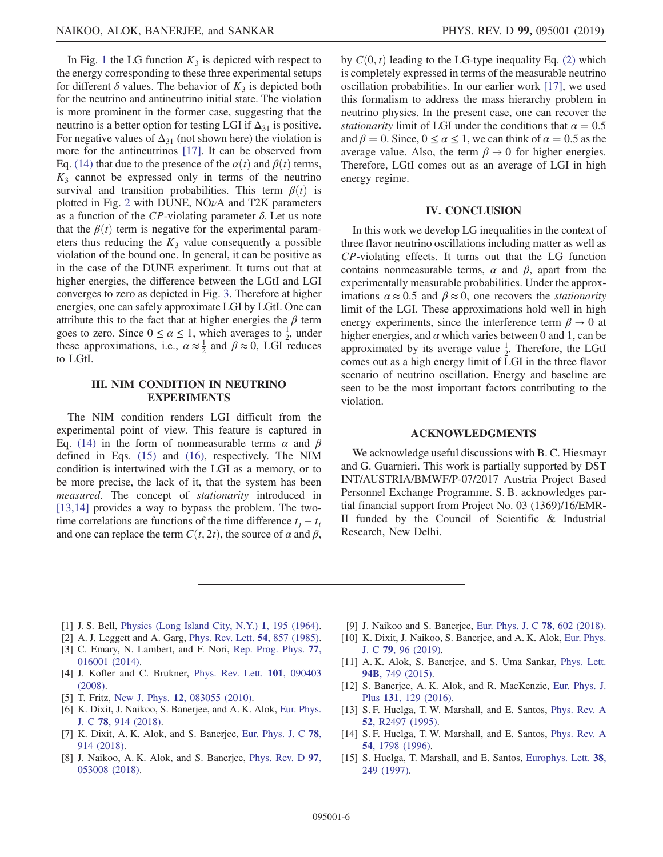In Fig. 1 the LG function  $K_3$  is depicted with respect to the energy corresponding to these three experimental setups for different  $\delta$  values. The behavior of  $K_3$  is depicted both for the neutrino and antineutrino initial state. The violation is more prominent in the former case, suggesting that the neutrino is a better option for testing LGI if  $\Delta_{31}$  is positive. For negative values of  $\Delta_{31}$  (not shown here) the violation is more for the antineutrinos [17]. It can be observed from Eq. (14) that due to the presence of the  $\alpha(t)$  and  $\beta(t)$  terms,  $K<sub>3</sub>$  cannot be expressed only in terms of the neutrino survival and transition probabilities. This term  $\beta(t)$  is plotted in Fig. 2 with DUNE,  $NO\nu A$  and T2K parameters as a function of the  $CP$ -violating parameter  $\delta$ . Let us note that the  $\beta(t)$  term is negative for the experimental parameters thus reducing the  $K_3$  value consequently a possible violation of the bound one. In general, it can be positive as in the case of the DUNE experiment. It turns out that at higher energies, the difference between the LGtI and LGI converges to zero as depicted in Fig. 3. Therefore at higher energies, one can safely approximate LGI by LGtI. One can attribute this to the fact that at higher energies the  $\beta$  term goes to zero. Since  $0 \le \alpha \le 1$ , which averages to  $\frac{1}{2}$ , under these approximations, i.e.,  $\alpha \approx \frac{1}{2}$  and  $\beta \approx 0$ , LGI reduces to LGtI.

## III. NIM CONDITION IN NEUTRINO EXPERIMENTS

The NIM condition renders LGI difficult from the experimental point of view. This feature is captured in Eq. (14) in the form of nonmeasurable terms  $\alpha$  and  $\beta$ defined in Eqs. (15) and (16), respectively. The NIM condition is intertwined with the LGI as a memory, or to be more precise, the lack of it, that the system has been measured. The concept of stationarity introduced in [13,14] provides a way to bypass the problem. The twotime correlations are functions of the time difference  $t_i - t_i$ and one can replace the term  $C(t, 2t)$ , the source of  $\alpha$  and  $\beta$ , by  $C(0, t)$  leading to the LG-type inequality Eq. (2) which is completely expressed in terms of the measurable neutrino oscillation probabilities. In our earlier work [17], we used this formalism to address the mass hierarchy problem in neutrino physics. In the present case, one can recover the *stationarity* limit of LGI under the conditions that  $\alpha = 0.5$ and  $\beta = 0$ . Since,  $0 \le \alpha \le 1$ , we can think of  $\alpha = 0.5$  as the average value. Also, the term  $\beta \rightarrow 0$  for higher energies. Therefore, LGtI comes out as an average of LGI in high energy regime.

### IV. CONCLUSION

In this work we develop LG inequalities in the context of three flavor neutrino oscillations including matter as well as CP-violating effects. It turns out that the LG function contains nonmeasurable terms,  $\alpha$  and  $\beta$ , apart from the experimentally measurable probabilities. Under the approximations  $\alpha \approx 0.5$  and  $\beta \approx 0$ , one recovers the *stationarity* limit of the LGI. These approximations hold well in high energy experiments, since the interference term  $\beta \to 0$  at higher energies, and  $\alpha$  which varies between 0 and 1, can be approximated by its average value  $\frac{1}{2}$ . Therefore, the LGtI comes out as a high energy limit of LGI in the three flavor scenario of neutrino oscillation. Energy and baseline are seen to be the most important factors contributing to the violation.

### ACKNOWLEDGMENTS

We acknowledge useful discussions with B. C. Hiesmayr and G. Guarnieri. This work is partially supported by DST INT/AUSTRIA/BMWF/P-07/2017 Austria Project Based Personnel Exchange Programme. S. B. acknowledges partial financial support from Project No. 03 (1369)/16/EMR-II funded by the Council of Scientific & Industrial Research, New Delhi.

- [1] J. S. Bell, Physics (Long Island City, N.Y.) 1, 195 (1964).
- [2] A. J. Leggett and A. Garg, Phys. Rev. Lett. **54**, 857 (1985).
- [3] C. Emary, N. Lambert, and F. Nori, Rep. Prog. Phys. 77, 016001 (2014).
- [4] J. Kofler and C. Brukner, Phys. Rev. Lett. 101, 090403 (2008).
- [5] T. Fritz, New J. Phys. **12**, 083055 (2010).
- [6] K. Dixit, J. Naikoo, S. Banerjee, and A. K. Alok, Eur. Phys. J. C 78, 914 (2018).
- [7] K. Dixit, A. K. Alok, and S. Banerjee, Eur. Phys. J. C 78, 914 (2018).
- [8] J. Naikoo, A. K. Alok, and S. Banerjee, Phys. Rev. D 97, 053008 (2018).
- [9] J. Naikoo and S. Banerjee, Eur. Phys. J. C 78, 602 (2018).
- [10] K. Dixit, J. Naikoo, S. Banerjee, and A. K. Alok, Eur. Phys. J. C 79, 96 (2019).
- [11] A. K. Alok, S. Banerjee, and S. Uma Sankar, Phys. Lett. 94B, 749 (2015).
- [12] S. Banerjee, A. K. Alok, and R. MacKenzie, Eur. Phys. J. Plus 131, 129 (2016).
- [13] S. F. Huelga, T. W. Marshall, and E. Santos, Phys. Rev. A 52, R2497 (1995).
- [14] S. F. Huelga, T. W. Marshall, and E. Santos, Phys. Rev. A 54, 1798 (1996).
- [15] S. Huelga, T. Marshall, and E. Santos, Europhys. Lett. 38, 249 (1997).